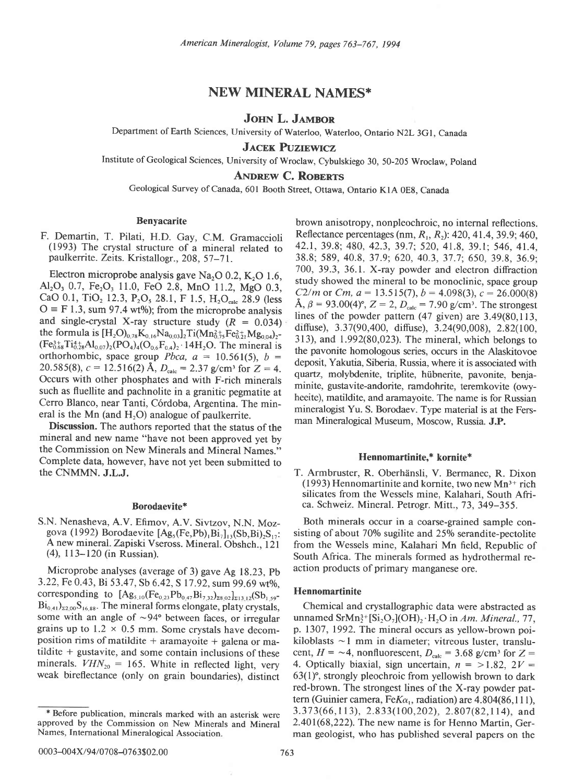# NEW MINERAL NAMES\*

# JOHN L. JAMBOR

Department of Earth Sciences, University of Waterloo, Waterloo, Ontario N2L 3G1, Canada

**JACEK PUZIEWICZ** 

Institute of Geological Sciences, University of Wroclaw, Cybulskiego 30, 50-205 Wroclaw, poland

ANDREW C. ROBERTS

Geological Survey of Canada,601 Booth Street, Ottawa, Ontario KlA OEg, Canada

### Benyacarite

F. Demartin, T. Pilati, H.D. Gay, C.M. Gramaccioli (1993) The crystal structure of a mineral related to paulkerrite. Zeits. Kristallogr., 208, 57-71.

Electron microprobe analysis gave Na<sub>2</sub>O 0.2, K<sub>2</sub>O 1.6,  $Al_2O_3$  0.7, Fe<sub>2</sub>O<sub>3</sub> 11.0, FeO 2.8, MnO 11.2, MgO 0.3, CaO 0.1, TiO<sub>2</sub> 12.3, P<sub>2</sub>O<sub>5</sub> 28.1, F 1.5, H<sub>2</sub>O<sub>calc</sub> 28.9 (less  $O \equiv F 1.3$ , sum 97.4 wt%); from the microprobe analysis and single-crystal X-ray structure study  $(R = 0.034)$ the formula is  $[H_2O]_{0.78}K_{0.16}Na_{0.03}]_2Ti(Mn_{0.75}^{2+}Fe_{0.21}^{2+}Mg_{0.04})_2 (Fe_{0.68}^{3+}Ti_{0.28}^{4}Al_{0.07})_2(PO_4)_4(O_{0.6}F_{0.4})_2.14H_2O$ . The mineral is orthorhombic, space group *Pbca*,  $a = 10.561(5)$ ,  $b =$ 20.585(8),  $c = 12.516(2)$  Å,  $D_{\text{calc}} = 2.37$  g/cm<sup>3</sup> for  $Z = 4$ . Occurs with other phosphates and with F-rich minerals such as fluellite and pachnolite in a granitic pegmatite at Cerro Blanco, near Tanti, Córdoba, Argentina. The mineral is the Mn (and  $H<sub>2</sub>O$ ) analogue of paulkerrite.

Discussion. The authors reported that the status of the mineral and new name "have not been approved yet by the Commission on New Minerals and Mineral Names." Complete data, however, have not yet been submitted to the CNMMN. J.L.J.

# Borodaevite\*

S.N. Nenasheva, A.V. Efimov, A.V. Sivtzov, N.N. Mozgova (1992) Borodaevite  $[Ag<sub>5</sub>(Fe, Pb)<sub>1</sub>Bi<sub>7</sub>]<sub>13</sub>(Sb,Bi)<sub>2</sub>S<sub>17</sub>$ : A new mineral. Zapiski Vseross. Mineral. Obshch., l2l (4), ll3-120 (in Russian).

Microprobe analyses (average of 3) gave Ag 18.23, pb 3.22, Fe 0.43, Bi 53.47, Sb 6.42, S 17.92, sum 99.69 wt%, corresponding to  $[Ag_{5,10}(Fe_{0,23}Pb_{0,47}Bi_{7,32})_{28,02}]_{213,12}(Sb_{1,59} Bi_{0,41}$ <sub>22,00</sub>S<sub>16,88</sub>. The mineral forms elongate, platy crystals, some with an angle of  $\sim$ 94 $\degree$  between faces, or irregular grains up to  $1.2 \times 0.5$  mm. Some crystals have decomposition rims of matildite  $+$  aramayoite  $+$  galena or matildite + gustavite, and some contain inclusions of these minerals.  $VHN_{20} = 165$ . White in reflected light, very weak bireflectance (only on grain boundaries), distinct

brown anisotropy, nonpleochroic, no internal reflections. Reflectance percentages (nm,  $R_1$ ,  $R_2$ ): 420, 41.4, 39.9; 460, 42.1, 39.8; 480, 42.3, 39.7; 520,41.8, 39.1; 546, 41.4, 38.8; 589, 40.8,37.9; 620, 40.3, 37.7: 650,39.8, 36.9; 700, 39.3, 36. l. X-ray powder and electron diffraction study showed the mineral to be monoclinic, space group C2/m or Cm,  $a = 13.515(7)$ ,  $b = 4.098(3)$ ,  $c = 26.000(8)$  $\hat{A}$ ,  $\beta = 93.00(4)$ °,  $Z = 2$ ,  $D_{\text{calc}} = 7.90$  g/cm<sup>3</sup>. The strongest lines of the powder pattern (47 given) are 3.49(80,113, diffuse), 3.37(90,400, diffuse), 3.24(90,008), 2.82(100, 313), and 1.992(80,023). The mineral, which belongs to the pavonite homologous series, occurs in the Alaskitovoe deposit, Yakutia, Siberia, Russia, where it is associated with quartz, molybdenite, triplite, hübnerite, pavonite, benjaminite, gustavite-andorite, ramdohrite, teremkovite (owyheeite), matildite, and aramayoite. The name is for Russian mineralogist Yu. S. Borodaev. Type material is at the Fersman Mineralogical Museum, Moscow, Russia. J.P.

### Hennomartinite.\* kornite\*

T. Armbruster, R. Oberhänsli, V. Bermanec, R. Dixon (1993) Hennomartinite and kornite, two new  $Mn^{3+}$  rich silicates from the Wessels mine, Kalahari, South Africa. Schweiz. Mineral. Petrogr. Mitt., 73, 349-355.

Both minerals occur in a coarse-grained sample consisting of about 70% sugilite and 25% serandite-pectolite from the Wessels mine, Kalahari Mn field, Republic of South Africa. The minerals formed as hydrothermal reaction products of primary manganese ore.

## Hennomartinite

Chemical and crystallographic data were abstracted as unnamed SrMn<sup>3+</sup>[Si<sub>2</sub>O<sub>7</sub>](OH)<sub>2</sub> · H<sub>2</sub>O in Am. Mineral., 77, p. 1307, 1992. The mineral occurs as yellow-brown poikiloblasts  $\sim$  1 mm in diameter; vitreous luster, translucent,  $H = -4$ , nonfluorescent,  $D_{\text{calc}} = 3.68 \text{ g/cm}^3$  for  $Z =$ 4. Optically biaxial, sign uncertain,  $n = >1.82$ ,  $2V =$  $63(1)$ °, strongly pleochroic from yellowish brown to dark red-brown. The strongest lines of the X-ray powder pattern (Guinier camera, Fe $K\alpha_1$ , radiation) are 4.804(86,111),  $3.373(66, 113)$ ,  $2.833(100, 202)$ ,  $2.807(82, 114)$ , and 2.401(68,222). The new name is for Henno Martin, German geologist, who has published several papers on the

<sup>\*</sup> Before publication, minerals marked with an asterisk were approved by the Commission on New Minerals and Mineral Names, International Mineralogical Association.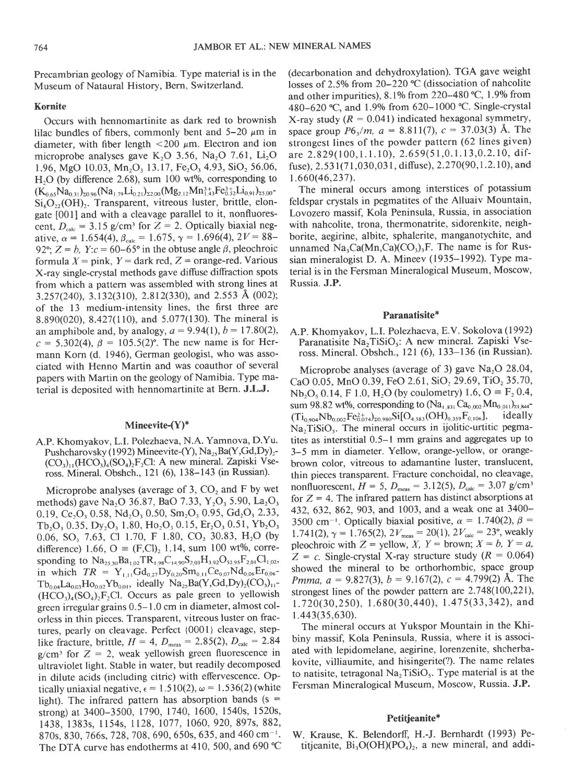Precambrian geology of Namibia. Type material is in the Museum of Nataural History, Bern, Switzerland.

### Kornite

Occurs with hennomartinite as dark red to brownish lilac bundles of fibers, commonly bent and  $5-20 \mu m$  in diameter, with fiber length  $\langle 200 \mu m \rangle$ . Electron and ion microprobe analyses gave  $K_2O$  3.56, Na<sub>2</sub>O 7.61, Li<sub>2</sub>O 1.96, MgO 10.03, Mn<sub>2</sub>O<sub>3</sub> 13.17, Fe<sub>2</sub>O<sub>3</sub> 4.93, SiO<sub>2</sub> 56.06,  $H<sub>2</sub>O$  (by difference 2.68), sum 100 wt%, corresponding to  $(K_{0.65}Na_{0.31})_{20.96}(Na_{1.79}Li_{0.21})_{22,00}(Mg_{2.12}Mn_{1.43}^{3+}Fe_{0.52}^{3+}Li_{0.91})_{25.00}$ - $Si_8O_{22}(OH)_{2}$ . Transparent, vitreous luster, brittle, elongate [001] and with a cleavage parallel to it, nonfluorescent,  $D_{\text{calc}} = 3.15$  g/cm<sup>3</sup> for  $Z = 2$ . Optically biaxial negative,  $\alpha = 1.654(4)$ ,  $\beta_{\text{calc}} = 1.675$ ,  $\gamma = 1.696(4)$ ,  $2V = 88-$ 92°;  $Z = b$ ,  $Y:c = 60-65°$  in the obtuse angle  $\beta$ , pleochroic formula  $X =$  pink,  $Y =$  dark red,  $Z =$  orange-red. Various X-ray single-crystal methods gave diffuse diffraction spots from which a pattern was assembled with strong lines at 3.257(240), 3.132(310), 2.812(330), and 2.553 Å (002); of the 13 medium-intensity lines, the first three are 8.890(020), 8.427(110), and 5.077(130). The mineral is an amphibole and, by analogy,  $a = 9.94(1)$ ,  $b = 17.80(2)$ ,  $c = 5.302(4), \beta = 105.5(2)$ °. The new name is for Hermann Korn (d. 1946), German geologist, who was associated with Henno Martin and was coauthor of several papers with Martin on the geology of Namibia. Type material is deposited with hennomartinite at Bern. J.L.J.

## Mineevite-(Y)\*

A.P. Khomyakov, L.I. Polezhaeva, N.A. Yamnova, D.Yu. Pushcharovsky (1992) Mineevite-(Y),  $Na<sub>25</sub>Ba(Y,Gd,Dy)<sub>2</sub>$ - $(CO<sub>3</sub>)<sub>11</sub>(HCO<sub>3</sub>)<sub>4</sub>(SO<sub>4</sub>)<sub>2</sub>F<sub>2</sub>Cl: A new mineral. Zapiski Vse$ ross. Mineral. Obshch., l2l (6),138-143 (in Russian).

Microprobe analyses (average of 3,  $CO<sub>2</sub>$  and F by wet methods) gave Na<sub>2</sub>O 36.87, BaO 7.33, Y<sub>2</sub>O<sub>3</sub> 5.90, La<sub>2</sub>O<sub>3</sub> 0.19, Ce<sub>2</sub>O<sub>3</sub> 0.58, Nd<sub>2</sub>O<sub>3</sub> 0.50, Sm<sub>2</sub>O<sub>3</sub> 0.95, Gd<sub>2</sub>O<sub>3</sub> 2.33,  $Tb_2O_3$  0.35,  $Dy_2O_3$  1.80,  $Ho_2O_3$  0.15,  $Er_2O_3$  0.51,  $Yb_2O_3$  $0.06$ , SO<sub>3</sub> 7.63, Cl 1.70, F 1.80, CO<sub>2</sub> 30.83, H<sub>2</sub>O (by difference) 1.66,  $O = (F, Cl)_2$  1.14, sum 100 wt%, corresponding to  $Na<sub>25,30</sub>Ba<sub>1,02</sub>TR<sub>1,98</sub>C<sub>14,90</sub>S<sub>2,03</sub>H<sub>3,92</sub>O<sub>52,95</sub>F<sub>2,01</sub>Cl<sub>1,02</sub>$ in which  $TR = Y_{1,11}Gd_{0,27}Dy_{0,20}Sm_{0,11}Ce_{0,07}Nd_{0,06}Er_{0,06}$  $Tb_{0.04}La_{0.03}Ho_{0.02}Yb_{0.01}$ , ideally  $Na_{25}Ba(Y, Gd, Dy)_{2}(CO_{3})_{11}$ - $(HCO<sub>3</sub>)<sub>4</sub>(SO<sub>4</sub>)<sub>2</sub>F<sub>2</sub>Cl.$  Occurs as pale green to yellowish green irregular grains 0.5- I .0 cm in diameter, almost colorless in thin pieces. Transparent, vitreous luster on fractures, pearly on cleavage. Perfect {0001} cleavage, steplike fracture, brittle,  $H = 4$ ,  $D_{\text{meas}} = 2.85(2)$ ,  $D_{\text{calc}} = 2.84$  $g/cm^3$  for  $Z = 2$ , weak yellowish green fluorescence in ultraviolet light. Stable in water, but readily decomposed in dilute acids (including citric) with effervescence. Optically uniaxial negative,  $\epsilon = 1.510(2)$ ,  $\omega = 1.536(2)$  (white light). The infrared pattern has absorption bands (s = strong) at 3400-3500, 1790, 1740, 1600, 1540s, 1520s, 1438, 1383s, I 154s, I 128, 1077, 1060, 920, 897s, 882, 870s, 830, 166s,728,708, 690, 650s, 635, and 460 cm-'. The DTA curve has endotherms at 410, 500, and 690 °C (decarbonation and dehydroxylation). TGA gave weight losses of 2.5% from  $20-220$  °C (dissociation of nahcolite and other impurities),  $8.1\%$  from 220-480 °C, 1.9% from 480-620 °C, and 1.9% from 620-1000 °C. Single-crystal X-ray study  $(R = 0.041)$  indicated hexagonal symmetry, space group  $P6<sub>1</sub>/m$ ,  $a = 8.811(7)$ ,  $c = 37.03(3)$  Å. The strongest lines of the powder pattern (62 lines given) are 2.829(100, 1.1.10), 2.659(51, 0.1.13, 0.2.10, diffuse),  $2.531(71,030,031,$  diffuse),  $2.270(90,1.2.10)$ , and 1.660(46,237).

The mineral occurs among interstices of potassium feldspar crystals in pegmatites of the Alluaiv Mountain, Lovozero massif, Kola Peninsula, Russia, in association with nahcolite, trona, thermonatrite, sidorenkite, neighborite, aegirine, albite, sphalerite, manganotychite, and unnamed  $Na_3Ca(Mn, Ca)(CO_3)$ <sub>1</sub>F. The name is for Russian mineralogist D. A. Mineev (1935-1992). Type material is in the Fersman Mineralogical Museum, Moscow, Russia. J.P.

### Paranatisite\*

A.P. Khomyakov, L.I. Polezhaeva, E.V. Sokolova(1992) Paranatisite Na<sub>2</sub>TiSiO<sub>5</sub>: A new mineral. Zapiski Vseross. Mineral. Obshch., l2l (6),133-136 (in Russian).

Microprobe analyses (average of 3) gave  $Na<sub>2</sub>O$  28.04, CaO 0.05, MnO 0.39, FeO 2.61, SiO<sub>2</sub> 29.69, TiO<sub>2</sub> 35.70, Nb, O<sub>5</sub> 0.14, F 1.0, H<sub>2</sub>O (by coulometry) 1.6, O =  $F_2$  0.4, sum 98.82 wt%, corresponding to  $(Na_{1,831} Ca_{0,02} Mn_{0,011})_{21,844}$ <br>(Theore Nbogor  $Fe^{2}_{0,24}$  m aso $SiO_{4,831}$  (OH)<sub>0.359</sub> F<sub>0.106</sub>], ideally  $(Ti_{0.904}Nb_{0.002}Fe_{0.074}^{2+})_{20.980}Si[O_{4.583}(OH)_{0.359}F_{0.106}],$  $Na<sub>2</sub>TiSiO<sub>5</sub>$ . The mineral occurs in ijolitic-urtitic pegmatites as interstitial 0.5-l mm grains and aggregates up to 3-5 mm in diameter. Yellow, orange-yellow, or orangebrown color, vitreous to adamantine luster, translucent, thin pieces transparent. Fracture conchoidal, no cleavage, nonfluorescent,  $H = 5$ ,  $D_{\text{meas}} = 3.12(5)$ ,  $D_{\text{calc}} = 3.07$  g/cm<sup>3</sup>. for  $Z = 4$ . The infrared pattern has distinct absorptions at 432,632,862,903, and 1003, and a weak one at 3400- 3500 cm<sup>-1</sup>. Optically biaxial positive,  $\alpha = 1.740(2)$ ,  $\beta =$ 1.741(2),  $\gamma = 1.765(2), 2V_{\text{meas}} = 20(1), 2V_{\text{calc}} = 23^{\circ}$ , weakly pleochroic with  $Z =$  yellow,  $X$ ,  $Y =$  brown;  $X = b$ ,  $Y = a$ ,  $Z = c$ . Single-crystal X-ray structure study ( $R = 0.064$ ) showed the mineral to be orthorhombic, space group *Pmma, a* = 9.827(3),  $b = 9.167(2)$ ,  $c = 4.799(2)$  Å. The strongest lines of the powder pattern are 2.748(100,221),  $1.720(30,250), 1.680(30,440), 1.475(33,342),$  and r.443(3s,630).

The mineral occurs at Yukspor Mountain in the Khibiny massif, Kola Peninsula, Russia, where it is associated with lepidomelane, aegirine, lorenzenite, shcherbakovite, villiaumite, and hisingerite(?). The name relates to natisite, tetragonal  $Na<sub>2</sub>TiSiO<sub>5</sub>$ . Type material is at the Fersman Mineralogical Museum, Moscow, Russia. J.P.

### Petitjeanite\*

W. Krause, K. Belendorff, H.-J. Bernhardt (1993) Petitjeanite,  $Bi_3O(OH)(PO_4)_2$ , a new mineral, and addi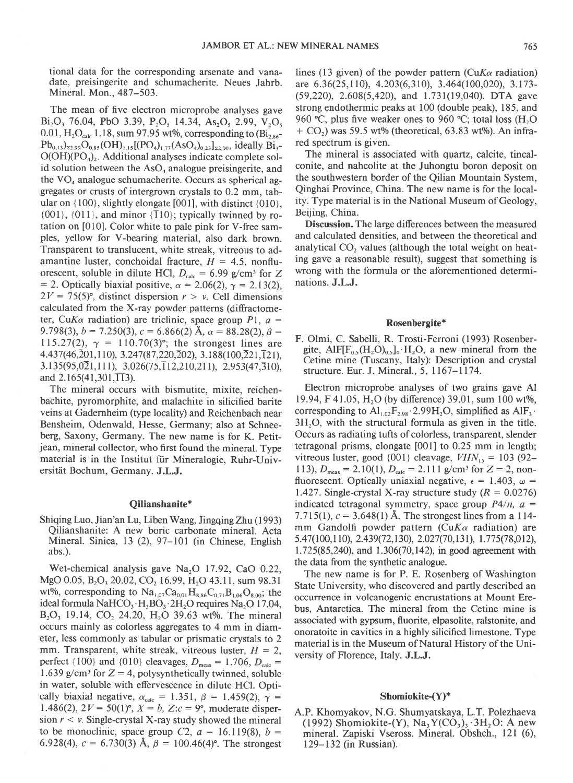tional data for the corresponding arsenate and vanadate, preisingerite and schumacherite. Neues Jahrb. Mineral. Mon., 487-503.

The mean of five electron microprobe analyses gave Bi<sub>2</sub>O<sub>3</sub> 76.04, PbO 3.39, P<sub>2</sub>O<sub>5</sub> 14.34, As<sub>2</sub>O<sub>5</sub> 2.99, V<sub>2</sub>O<sub>5</sub> 0.01,  $H_2O_{calc}$  1.18, sum 97.95 wt%, corresponding to (Bi<sub>2.86</sub>- $Pb_{0,13}$ <sub>22,99</sub> $O_{0,85}(OH)_{1,15}[(PO_4)_{1,77}(AsO_4)_{0,23}]_{22,00}$ , ideally  $Bi_3$ - $O(OH)(PO<sub>4</sub>)<sub>2</sub>$ . Additional analyses indicate complete solid solution between the  $AsO<sub>4</sub>$  analogue preisingerite, and the  $VO<sub>4</sub>$  analogue schumacherite. Occurs as spherical aggregates or crusts of intergrown crystals to 0.2 mm, tabular on  $\{100\}$ , slightly elongate [001], with distinct  $\{010\}$ ,  ${001}$ ,  ${011}$ , and minor  ${T10}$ ; typically twinned by rotation on [010]. Color white to pale pink for V-free samples, yellow for V-bearing material, also dark brown. Transparent to translucent, white streak, vitreous to adamantine luster, conchoidal fracture,  $H = 4.5$ , nonfluorescent, soluble in dilute HCl,  $D_{\text{calc}} = 6.99$  g/cm<sup>3</sup> for Z = 2. Optically biaxial positive,  $\alpha$  = 2.06(2),  $\gamma$  = 2.13(2),  $2V = 75(5)$ °, distinct dispersion  $r > v$ . Cell dimensions calculated from the X-ray powder patterns (diffractometer, CuK $\alpha$  radiation) are triclinic, space group Pl,  $a =$ 9.798(3),  $b = 7.250(3)$ ,  $c = 6.866(2)$  Å,  $\alpha = 88.28(2)$ ,  $\beta =$ 115.27(2),  $\gamma = 110.70(3)$ °; the strongest lines are  $4.437(46, \bar{2}01, 110), 3.247(87, \bar{2}20, \bar{2}02), 3.188(100, \bar{2}21, \bar{1}21),$  $3.135(95,0\overline{2}1,111), 3.026(75,\overline{1}12,210,2\overline{1}1), 2.953(47,\overline{3}10),$ and  $2.165(41,301,\overline{113})$ .

The mineral occurs with bismutite. mixite. reichenbachite, pyromorphite, and malachite in silicified barite veins at Gadernheim (type locality) and Reichenbach near Bensheim, Odenwald, Hesse, Germany; also at Schneeberg, Saxony, Germany. The new name is for K. Petitjean, mineral collector, who first found the mineral. Type material is in the Institut für Mineralogie, Ruhr-Universität Bochum, Germany. J.L.J.

## Qilianshanite\*

Shiqing Luo, Jian'an Lu, Liben Wang, Jingqing Zhu (1993) Qilianshanite: A new boric carbonate mineral. Acta Mineral. Sinica, 13 (2), 97-l0l (in Chinese, English abs.).

Wet-chemical analysis gave Na<sub>2</sub>O 17.92, CaO 0.22, MgO 0.05, B<sub>2</sub>O<sub>3</sub> 20.02, CO<sub>2</sub> 16.99, H<sub>2</sub>O 43.11, sum 98.31 wt%, corresponding to  $\text{Na}_{1.07}\text{Ca}_{0.01}\text{H}_{8.86}\text{C}_{0.71}\text{B}_{1.06}\text{O}_{8.00}$ ; the ideal formula NaHCO<sub>3</sub>  $H_3BO_3$   $2H_2O$  requires Na<sub>2</sub>O 17.04, B<sub>2</sub>O<sub>3</sub> 19.14, CO<sub>2</sub> 24.20, H<sub>2</sub>O 39.63 wt%. The mineral occurs mainly as colorless aggregates to 4 mm in diameter, less commonly as tabular or prismatic crystals to 2 mm. Transparent, white streak, vitreous luster,  $H = 2$ , perfect {100} and {010} cleavages,  $D_{\text{meas}} = 1.706, D_{\text{calc}} =$ 1.639 g/cm<sup>3</sup> for  $Z = 4$ , polysynthetically twinned, soluble in water, soluble with effervescence in dilute HCl. Optically biaxial negative,  $\alpha_{\text{calc}} = 1.351, \beta = 1.459(2), \gamma =$ 1.486(2),  $2V = 50(1)$ °,  $X = b$ ,  $Z:c = 9$ °, moderate dispersion  $r < v$ . Single-crystal X-ray study showed the mineral to be monoclinic, space group C2,  $a = 16.119(8)$ ,  $b =$ 6.928(4),  $c = 6.730(3)$  Å,  $\beta = 100.46(4)$ °. The strongest lines (13 given) of the powder pattern (CuK $\alpha$  radiation) are 6.36(25,110), 4.203(6,310), 3.464(100,020), 3.173-(59,220), 2.608(5,420), and 1.731(19,040). DTA gave strong endothermic peaks at 100 (double peak), I 85, and 960'C, plus five weaker ones to 960 "C; total loss (H,O  $+$  CO<sub>2</sub>) was 59.5 wt% (theoretical, 63.83 wt%). An infrared spectrum is given.

The mineral is associated with quartz, calcite, tincalconite, and nahcolite at the Juhongtu boron deposit on the southwestern border of the Qilian Mountain System, Qinghai Province, China. The new name is for the locality. Type material is in the National Museum of Geology, Beijing, China.

Discussion. The large differences between the measured and calculated densities, and between the theoretical and analytical  $CO<sub>2</sub>$  values (although the total weight on heating gave a reasonable result), suggest that something is wrong with the formula or the aforementioned determinations. J.L.J.

#### Rosenbergite\*

F. Olmi, C. Sabelli, R. Trosti-Ferroni (1993) Rosenbergite,  $\text{AlF}[\text{F}_{0.5}(\text{H},\text{O})_{0.5}]_4$  H<sub>2</sub>O, a new mineral from the Cetine mine (Tuscany, Italy): Description and crystal structure. Eur. J. Mineral., 5, 1167-1174.

Electron microprobe analyses of two grains gave Al 19.94, F 41.05, H<sub>2</sub>O (by difference) 39.01, sum 100 wt%, corresponding to  $\text{Al}_{1,02}F_{2,98}\cdot 2.99\text{H}_2\text{O}$ , simplified as  $\text{AlF}_3\cdot$  $3H<sub>2</sub>O$ , with the structural formula as given in the title. Occurs as radiating tufts of colorless, transparent, slender tetragonal prisms, elongate [001] to 0.25 mm in length; vitreous luster, good  $\{001\}$  cleavage,  $VHN_{15} = 103$  (92-113),  $D_{\text{meas}} = 2.10(1)$ ,  $D_{\text{calc}} = 2.111$  g/cm<sup>3</sup> for  $Z = 2$ , nonfluorescent. Optically uniaxial negative,  $\epsilon = 1.403$ ,  $\omega =$ 1.427. Single-crystal X-ray structure study ( $R = 0.0276$ ) indicated tetragonal symmetry, space group  $P4/n$ ,  $a =$ 7.715(1),  $c = 3.648(1)$  Å. The strongest lines from a 114mm Gandolfi powder pattern (CuK $\alpha$  radiation) are 5.47(100,110), 2.439(72,130), 2.027(70,131), 1.775(78,012), 1.725(85,240), and 1.306(70,142), in good agreement with the data from the synthetic analogue.

The new name is for P. E. Rosenberg of Washington State University, who discovered and partly described an occurrence in volcanogenic encrustations at Mount Erebus, Antarctica. The mineral from the Cetine mine is associated with gypsum, fluorite, elpasolite, ralstonite, and onoratoite in cavities in a highly silicified limestone. Type material is in the Museum of Natural History of the University of Florence, Italy. J.L.J.

#### Shomiokite-(Y)\*

A.P. Khomyakov, N.G. Shumyatskaya, L.T. Polezhaeva (1992) Shomiokite-(Y),  $Na, Y(CO_3), 3H, O: A$  new mineral. Zapiski Vseross. Mineral. Obshch., l2l (6), 129-132 (in Russian).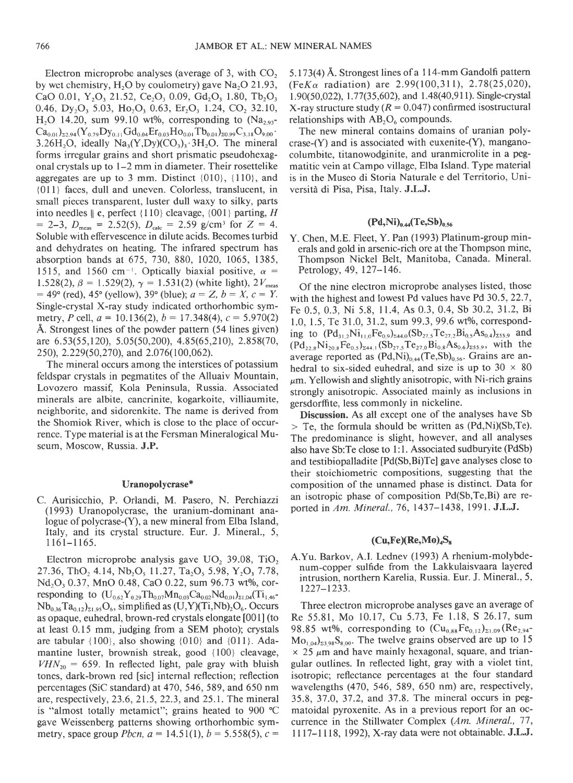Electron microprobe analyses (average of 3, with CO, by wet chemistry, H<sub>2</sub>O by coulometry) gave Na<sub>2</sub>O 21.93, CaO 0.01, Y<sub>2</sub>O<sub>3</sub> 21.52, Ce<sub>2</sub>O<sub>3</sub> 0.09, Gd<sub>2</sub>O<sub>3</sub> 1.80, Tb<sub>2</sub>O<sub>3</sub> 0.46, Dy<sub>2</sub>O<sub>3</sub> 5.03, Ho<sub>2</sub>O<sub>3</sub> 0.63, Er<sub>2</sub>O<sub>3</sub> 1.24, CO<sub>2</sub> 32.10, H<sub>2</sub>O 14.20, sum 99.10 wt%, corresponding to  $(Na_{2.93}$ - $Ca_{0.01}$ <sub>22.94</sub> (Y<sub>0.79</sub> Dy<sub>0.11</sub> Gd<sub>0.04</sub> Er<sub>0.03</sub> Ho<sub>0.01</sub> Tb<sub>0.01</sub>)<sub>20.99</sub> C<sub>3.18</sub> O<sub>9.00</sub>. 3.26H<sub>2</sub>O, ideally Na<sub>3</sub>(Y,Dy)(CO<sub>3</sub>)<sub>3</sub>.3H<sub>2</sub>O. The mineral forms irregular grains and short prismatic pseudohexagonal crystals up to l-2 mm in diameter. Their rosettelike aggregates are up to 3 mm. Distinct  $\{010\}$ ,  $\{110\}$ , and {0ll} faces, dull and uneven. Colorless, translucent, in small pieces transparent, luster dull waxy to silky, parts into needles  $\|$  c, perfect {110} cleavage, {001} parting, H  $=$  2-3,  $D_{\text{meas}}$  = 2.52(5),  $D_{\text{calc}}$  = 2.59 g/cm<sup>3</sup> for Z = 4. Soluble with effervescence in dilute acids. Becomes turbid and dehydrates on heating. The infrared spectrum has absorption bands at 675, 730,880, 1020, 1065, 1385, 1515, and 1560 cm<sup>-1</sup>. Optically biaxial positive,  $\alpha$  = 1.528(2),  $\beta = 1.529(2)$ ,  $\gamma = 1.531(2)$  (white light),  $2V_{\text{meas}}$  $= 49^{\circ}$  (red), 45° (yellow), 39° (blue);  $a = Z$ ,  $b = X$ ,  $c = Y$ . Single-crystal X-ray study indicated orthorhombic symmetry, P cell,  $a = 10.136(2)$ ,  $b = 17.348(4)$ ,  $c = 5.970(2)$ A. Strongest lines of the powder pattern (54 lines given) are 6.53(55,120), 5.05(50,200), 4.85(65,210), 2.858(70, 250), 2.229(50,270), and 2.076(100,062).

The mineral occurs among the interstices of potassium feldspar crystals in pegmatites of the Alluaiv Mountain, Lovozero massif, Kola Peninsula, Russia. Associated minerals are albite, cancrinite, kogarkoite, villiaumite, neighborite, and sidorenkite. The name is derived from the Shomiok River, which is close to the place of occurrence. Type material is at the Fersman Mineralogical Museum, Moscow, Russia. J.P.

### Uranopolycrase\*

C. Aurisicchio, P. Orlandi, M. Pasero, N. Perchiazzi (1993) Uranopolycrase, the uranium-dominant analogue of polycrase-(Y), a new mineral from Elba Island, Italy, and its crystal structure. Eur. J. Mineral., 5, 1 161-l 165.

Electron microprobe analysis gave  $UO<sub>2</sub>$  39.08, TiO<sub>2</sub> 27.36, ThO<sub>2</sub> 4.14, Nb<sub>2</sub>O<sub>5</sub> 11.27, Ta<sub>2</sub>O<sub>5</sub> 5.98, Y<sub>2</sub>O<sub>3</sub> 7.78,  $Nd<sub>2</sub>O<sub>3</sub> 0.37$ , MnO 0.48, CaO 0.22, sum 96.73 wt%, corresponding to  $(U_{0.62}Y_{0.29}Th_{0.07}Mn_{0.03}Ca_{0.02}Nd_{0.01})_{\Sigma1,04}(Ti_{1.46} Nb_{0.36}Ta_{0.12}\Sigma_{1.95}O_6$ , simplified as  $(U,Y)(Ti,Nb)_{2}O_6$ . Occurs as opaque, euhedral, brown-red crystals elongate [001] (to at least 0. 15 mm, judging from a SEM photo); crystals are tabular  $\{100\}$ , also showing  $\{010\}$  and  $\{011\}$ . Adamantine luster, brownish streak, good {100} cleavage,  $VHN_{20} = 659$ . In reflected light, pale gray with bluish tones, dark-brown red [sic] internal reflection; reflection percentages (SiC standard) at 470, 546, 589, and 650 nm are, respectively,23.6,2l.5,22.3, and 25.1. The mineral is "almost totally metamict"; grains heated to 900 'C gave Weissenberg patterns showing orthorhombic symmetry, space group *Pbcn*,  $a = 14.51(1)$ ,  $b = 5.558(5)$ ,  $c =$ 

5.173(4) A. Strongest lines of a I l4-mm Gandolfi pattem (Fe $K_{\alpha}$  radiation) are 2.99(100,311), 2.78(25,020), 1.90(50,022), 1.77(35,602), and 1.48(40,911). Single-crystal X-ray structure study ( $R = 0.047$ ) confirmed isostructural relationships with  $AB_2O_6$  compounds.

The new mineral contains domains of uranian polycrase-(Y) and is associated with euxenite-(Y), manganocolumbite, titanowodginite, and uranmicrolite in a pegmatitic vein at Campo village, Elba Island. Type material is in the Museo di Storia Naturale e del Territorio, Università di Pisa, Pisa, Italy. J.L.J.

# $(Pd,Ni)_{0.44}$ (Te,Sb)<sub>0.56</sub>

Y. Chen, M.E. Fleet, Y. Pan (1993) Platinum-group minerals and gold in arsenic-rich ore at the Thompson mine, Thompson Nickel Belt, Manitoba, Canada. Mineral. Petrology, 49, 127-146.

Of the nine electron microprobe analyses listed, those with the highest and lowest Pd values have Pd 30.5, 22.7, Fe 0.5, 0.3, Ni 5.8, 11.4, As 0.3, 0.4, Sb 30.2, 31.2, Bi 1.0, 1.5, Te 31.0, 31.2, sum 99.3, 99.6 wt%, corresponding to  $(Pd_{31,2}Ni_{11,0}Fe_{0.9})_{z44,0}(Sb_{27,5}Te_{27,2}Bi_{0.5}As_{0.4})_{z55,9}$  and  $(Pd_{228}Ni_{208}Fe_{0.5})_{z_{44,1}}(Sb_{27,5}Te_{27,0}Bi_{0.8}As_{0.6})_{z_{55,9}},$  with the average reported as  $(Pd,Ni)_{0.44}$ (Te,Sb)<sub>0.56</sub>. Grains are anhedral to six-sided euhedral, and size is up to  $30 \times 80$  $\mu$ m. Yellowish and slightly anisotropic, with Ni-rich grains strongly anisotropic. Associated mainly as inclusions in gersdorffite, less commonly in nickeline.

Discussion. As all except one of the analyses have Sb  $>$  Te, the formula should be written as  $(Pd,Ni)(Sb,Te)$ . The predominance is slight, however, and all analyses also have Sb:Te close to l: l. Associated sudburyite (PdSb) and testibiopalladite [Pd(Sb,Bi)Te] gave analyses close to their stoichiometric compositions, suggesting that the composition of the unnamed phase is distinct. Data for an isotropic phase of composition Pd(Sb,Te,Bi) are reported in Am. Mineral., 76, 1437–1438, 1991. J.L.J.

## $(Cu,Fe)(Re,Mo)_{4}S_{8}$

A.Yu. Barkov, A.I. Lednev (1993) A rhenium-molybdenum-copper sulfide from the Lakkulaisvaara layered intrusion, northern Karelia, Russia. Eur. J. Mineral., 5, 1227-1233.

Three electron microprobe analyses gave an average of Re 55.81, Mo 10.17, Cu 5.73, Fe 1.18, S 26.17, sum 98.85 wt%, corresponding to  $(Cu_{0.88}Fe_{0.12})_{21.09}$  (Re<sub>2.94</sub>- $Mo<sub>1.04</sub>$ <sub>23.98</sub>S<sub>8.00</sub>. The twelve grains observed are up to 15  $\times$  25  $\mu$ m and have mainly hexagonal, square, and triangular outlines. In reflected light, gray with a violet tint, isotropic; reflectance percentages at the four standard wavelengths (470, 546, 589, 650 nm) are, respectively, 35.8, 37.0, 37-2, and 37.8. The mineral occurs in pegmatoidal pyroxenite. As in a previous report for an occurrence in the Stillwater Complex (Am. Mineral., 77, lll7-ll18, 1992), X-ray data were not obtainable. J.LJ.